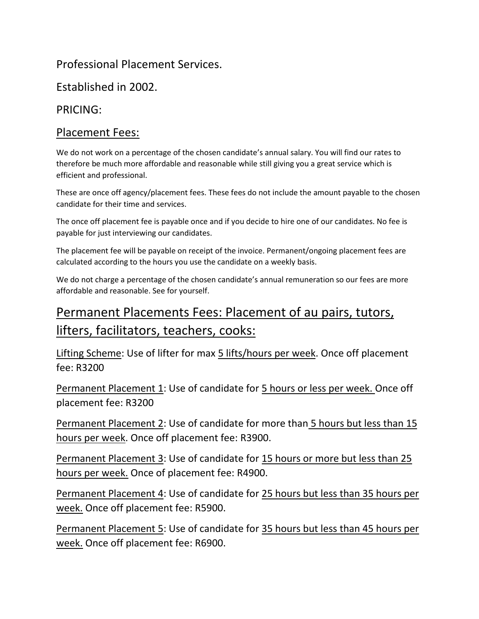## Professional Placement Services.

Established in 2002.

### PRICING:

## Placement Fees:

We do not work on a percentage of the chosen candidate's annual salary. You will find our rates to therefore be much more affordable and reasonable while still giving you a great service which is efficient and professional.

These are once off agency/placement fees. These fees do not include the amount payable to the chosen candidate for their time and services.

The once off placement fee is payable once and if you decide to hire one of our candidates. No fee is payable for just interviewing our candidates.

The placement fee will be payable on receipt of the invoice. Permanent/ongoing placement fees are calculated according to the hours you use the candidate on a weekly basis.

We do not charge a percentage of the chosen candidate's annual remuneration so our fees are more affordable and reasonable. See for yourself.

## Permanent Placements Fees: Placement of au pairs, tutors, lifters, facilitators, teachers, cooks:

Lifting Scheme: Use of lifter for max 5 lifts/hours per week. Once off placement fee: R3200

Permanent Placement 1: Use of candidate for 5 hours or less per week. Once off placement fee: R3200

Permanent Placement 2: Use of candidate for more than 5 hours but less than 15 hours per week. Once off placement fee: R3900.

Permanent Placement 3: Use of candidate for 15 hours or more but less than 25 hours per week. Once of placement fee: R4900.

Permanent Placement 4: Use of candidate for 25 hours but less than 35 hours per week. Once off placement fee: R5900.

Permanent Placement 5: Use of candidate for 35 hours but less than 45 hours per week. Once off placement fee: R6900.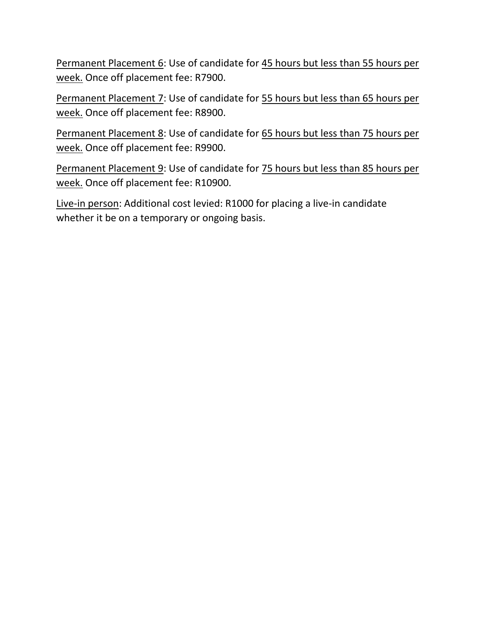Permanent Placement 6: Use of candidate for 45 hours but less than 55 hours per week. Once off placement fee: R7900.

Permanent Placement 7: Use of candidate for 55 hours but less than 65 hours per week. Once off placement fee: R8900.

Permanent Placement 8: Use of candidate for 65 hours but less than 75 hours per week. Once off placement fee: R9900.

Permanent Placement 9: Use of candidate for 75 hours but less than 85 hours per week. Once off placement fee: R10900.

Live-in person: Additional cost levied: R1000 for placing a live-in candidate whether it be on a temporary or ongoing basis.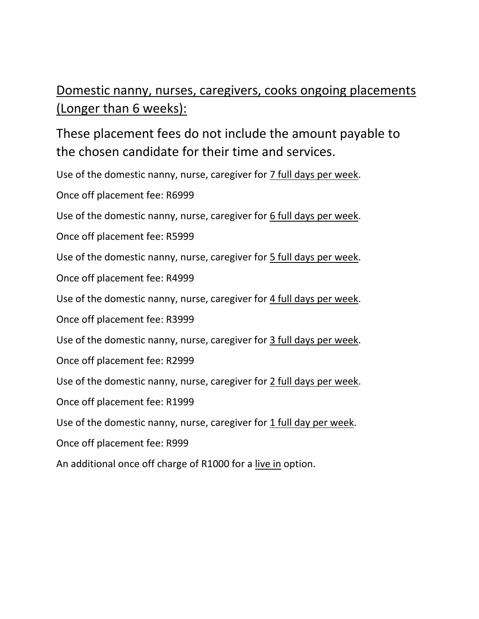# Domestic nanny, nurses, caregivers, cooks ongoing placements (Longer than 6 weeks):

These placement fees do not include the amount payable to the chosen candidate for their time and services.

Use of the domestic nanny, nurse, caregiver for 7 full days per week. Once off placement fee: R6999 Use of the domestic nanny, nurse, caregiver for 6 full days per week. Once off placement fee: R5999 Use of the domestic nanny, nurse, caregiver for 5 full days per week. Once off placement fee: R4999 Use of the domestic nanny, nurse, caregiver for 4 full days per week. Once off placement fee: R3999 Use of the domestic nanny, nurse, caregiver for 3 full days per week. Once off placement fee: R2999 Use of the domestic nanny, nurse, caregiver for 2 full days per week. Once off placement fee: R1999 Use of the domestic nanny, nurse, caregiver for 1 full day per week. Once off placement fee: R999 An additional once off charge of R1000 for a live in option.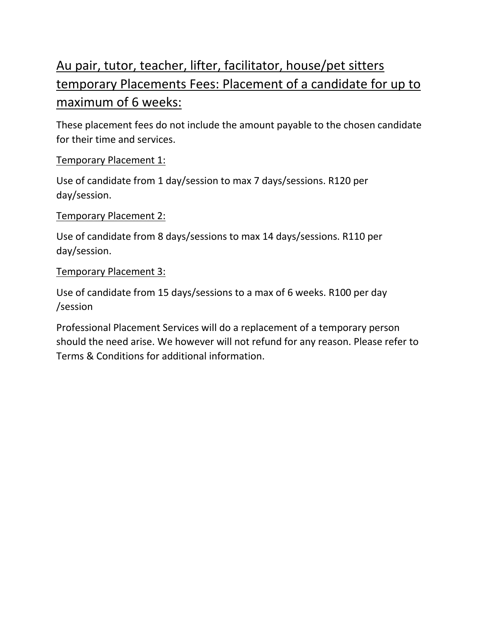# Au pair, tutor, teacher, lifter, facilitator, house/pet sitters temporary Placements Fees: Placement of a candidate for up to maximum of 6 weeks:

These placement fees do not include the amount payable to the chosen candidate for their time and services.

### Temporary Placement 1:

Use of candidate from 1 day/session to max 7 days/sessions. R120 per day/session.

#### Temporary Placement 2:

Use of candidate from 8 days/sessions to max 14 days/sessions. R110 per day/session.

#### Temporary Placement 3:

Use of candidate from 15 days/sessions to a max of 6 weeks. R100 per day /session

Professional Placement Services will do a replacement of a temporary person should the need arise. We however will not refund for any reason. Please refer to Terms & Conditions for additional information.